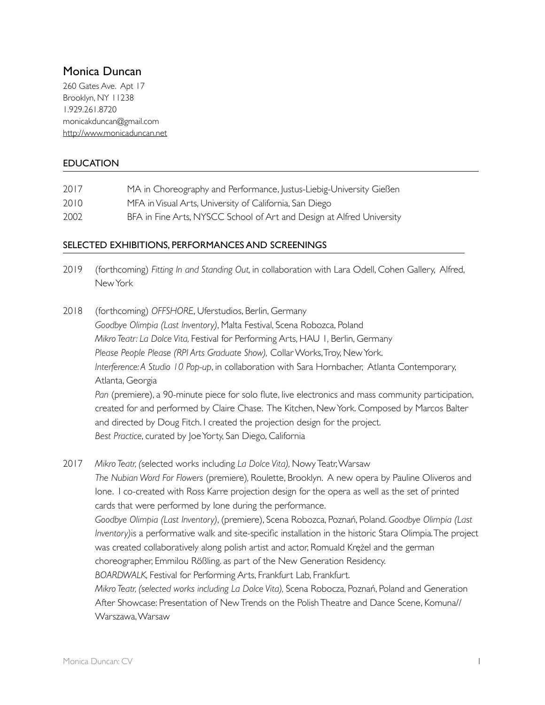# Monica Duncan

260 Gates Ave. Apt 17 Brooklyn, NY 11238 1.929.261.8720 monicakduncan@gmail.com <http://www.monicaduncan.net>

## EDUCATION

| 2017 | MA in Choreography and Performance, Justus-Liebig-University Gießen |
|------|---------------------------------------------------------------------|
| 2010 | MFA in Visual Arts, University of California, San Diego             |

2002 BFA in Fine Arts, NYSCC School of Art and Design at Alfred University

## SELECTED EXHIBITIONS, PERFORMANCES AND SCREENINGS

- 2019 (forthcoming) *Fitting In and Standing Out,* in collaboration with Lara Odell, Cohen Gallery, Alfred, New York
- 2018 (forthcoming) *OFFSHORE*, Uferstudios, Berlin, Germany *Goodbye Olimpia (Last Inventory)*, Malta Festival, Scena Robozca, Poland *Mikro Teatr: La Dolce Vita,* Festival for Performing Arts, HAU 1*,* Berlin, Germany *Please People Please (RPI Arts Graduate Show),* Collar Works, Troy, New York. *Interference: A Studio 10 Pop-up*, in collaboration with Sara Hornbacher, Atlanta Contemporary, Atlanta, Georgia *Pan* (premiere), a 90-minute piece for solo flute, live electronics and mass community participation, created for and performed by Claire Chase. The Kitchen, New York. Composed by Marcos Balter and directed by Doug Fitch. I created the projection design for the project. *Best Practice*, curated by Joe Yorty, San Diego, California

2017 *Mikro Teatr, (*selected works including *La Dolce Vita),* Nowy Teatr, Warsaw *The Nubian Word For Flowers* (premiere)*,* Roulette, Brooklyn. A new opera by Pauline Oliveros and Ione. I co-created with Ross Karre projection design for the opera as well as the set of printed cards that were performed by Ione during the performance. *Goodbye Olimpia (Last Inventory)*, (premiere), Scena Robozca, Poznań, Poland. *Goodbye Olimpia (Last Inventory)*is a performative walk and site-specific installation in the historic Stara Olimpia. The project was created collaboratively along polish artist and actor, Romuald Krężel and the german choreographer, Emmilou Rößling. as part of the New Generation Residency. *BOARDWALK,* Festival for Performing Arts, Frankfurt Lab, Frankfurt. *Mikro Teatr, (selected works including La Dolce Vita),* Scena Robocza, Poznań, Poland and Generation After Showcase: Presentation of New Trends on the Polish Theatre and Dance Scene, Komuna// Warszawa, Warsaw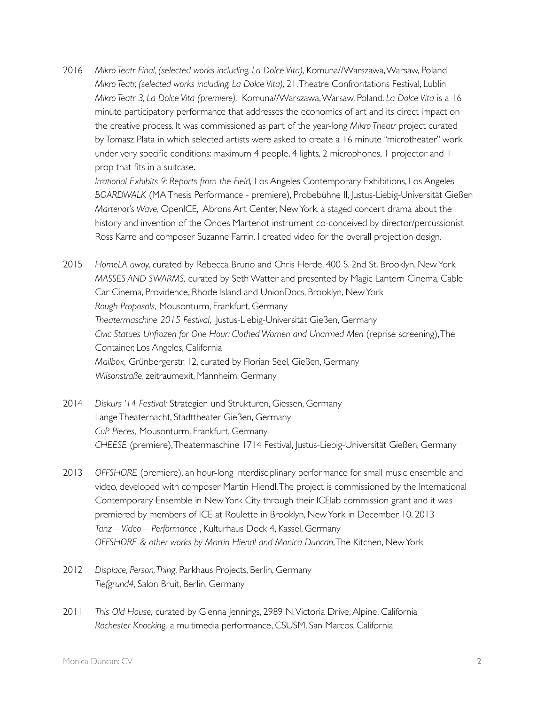2016 *Mikro Teatr Final, (selected works including, La Dolce Vita),* Komuna//Warszawa, Warsaw, Poland *Mikro Teatr, (selected works including, La Dolce Vita),* 21. Theatre Confrontations Festival, Lublin *Mikro Teatr 3, La Dolce Vita (premiere),* Komuna//Warszawa, Warsaw, Poland. *La Dolce Vita* is a 16 minute participatory performance that addresses the economics of art and its direct impact on the creative process. It was commissioned as part of the year-long *Mikro Theatr* project curated by Tomasz Plata in which selected artists were asked to create a 16 minute "microtheater" work under very specific conditions: maximum 4 people, 4 lights, 2 microphones, 1 projector and 1 prop that fits in a suitcase.

*Irrational Exhibits 9: Reports from the Field,* Los Angeles Contemporary Exhibitions, Los Angeles *BOARDWALK* (MA Thesis Performance - premiere), Probebühne II, Justus-Liebig-Universität Gießen *Martenot's Wave*, OpenICE, Abrons Art Center, New York. a staged concert drama about the history and invention of the Ondes Martenot instrument co-conceived by director/percussionist Ross Karre and composer Suzanne Farrin. I created video for the overall projection design.

- 2015 *HomeLA away*, curated by Rebecca Bruno and Chris Herde, 400 S. 2nd St. Brooklyn, New York *MASSES AND SWARMS,* curated by Seth Watter and presented by Magic Lantern Cinema, Cable Car Cinema, Providence, Rhode Island and UnionDocs, Brooklyn, New York *Rough Proposals,* Mousonturm, Frankfurt, Germany *Theatermaschine 2015 Festival*, Justus-Liebig-Universität Gießen, Germany *Civic Statues Unfrozen for One Hour: Clothed Women and Unarmed Men* (reprise screening), The Container, Los Angeles, California *Mailbox,* Grünbergerstr. 12, curated by Florian Seel, Gießen, Germany *Wilsonstraße*, zeitraumexit, Mannheim, Germany
- 2014 *Diskurs '14 Festival:* Strategien und Strukturen, Giessen, Germany Lange Theaternacht, Stadttheater Gießen, Germany *CuP Pieces,* Mousonturm, Frankfurt, Germany *CHEESE* (premiere), Theatermaschine 1714 Festival, Justus-Liebig-Universität Gießen, Germany
- 2013 *OFFSHORE* (premiere), an hour-long interdisciplinary performance for small music ensemble and video, developed with composer Martin Hiendl. The project is commissioned by the International Contemporary Ensemble in New York City through their ICElab commission grant and it was premiered by members of ICE at Roulette in Brooklyn, New York in December 10, 2013 *Tanz – Video – Performance* , Kulturhaus Dock 4, Kassel, Germany *OFFSHORE & other works by Martin Hiendl and Monica Duncan*, The Kitchen, New York
- 2012 *Displace, Person, Thing*, Parkhaus Projects, Berlin, Germany *Tiefgrund4*, Salon Bruit, Berlin, Germany
- 2011 *This Old House,* curated by Glenna Jennings, 2989 N. Victoria Drive, Alpine, California *Rochester Knocking,* a multimedia performance, CSUSM, San Marcos, California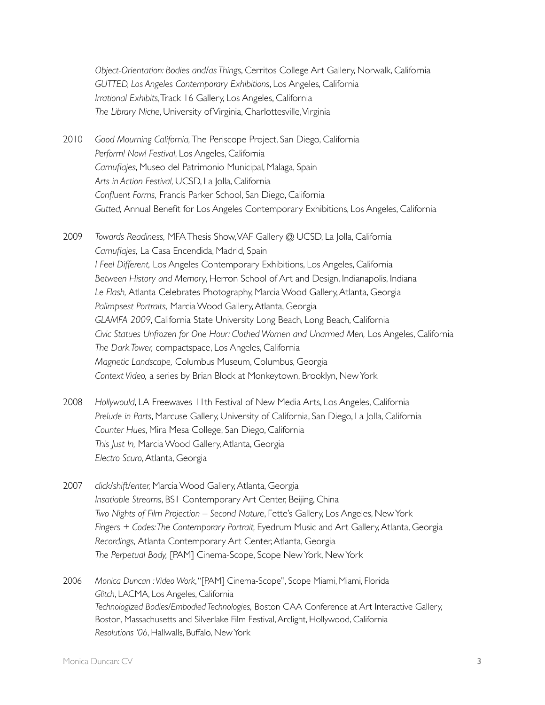*Object-Orientation: Bodies and/as Things*, Cerritos College Art Gallery, Norwalk, California *GUTTED, Los Angeles Contemporary Exhibitions*, Los Angeles, California *Irrational Exhibits*, Track 16 Gallery, Los Angeles, California *The Library Niche*, University of Virginia, Charlottesville, Virginia

- 2010 *Good Mourning California,* The Periscope Project, San Diego, California *Perform! Now! Festival*, Los Angeles, California *Camuflajes*, Museo del Patrimonio Municipal, Malaga, Spain *Arts in Action Festival,* UCSD, La Jolla, California *Confluent Forms,* Francis Parker School, San Diego, California *Gutted,* Annual Benefit for Los Angeles Contemporary Exhibitions, Los Angeles, California
- 2009 *Towards Readiness,* MFA Thesis Show, VAF Gallery @ UCSD, La Jolla, California *Camuflajes,* La Casa Encendida, Madrid, Spain *I Feel Different,* Los Angeles Contemporary Exhibitions, Los Angeles, California *Between History and Memory*, Herron School of Art and Design, Indianapolis, Indiana *Le Flash,* Atlanta Celebrates Photography, Marcia Wood Gallery, Atlanta, Georgia *Palimpsest Portraits,* Marcia Wood Gallery, Atlanta, Georgia *GLAMFA 2009*, California State University Long Beach, Long Beach, California *Civic Statues Unfrozen for One Hour: Clothed Women and Unarmed Men,* Los Angeles, California *The Dark Tower,* compactspace, Los Angeles, California *Magnetic Landscape,* Columbus Museum, Columbus, Georgia *Context Video,* a series by Brian Block at Monkeytown, Brooklyn, New York
- 2008 *Hollywould*, LA Freewaves 11th Festival of New Media Arts, Los Angeles, California *Prelude in Parts*, Marcuse Gallery, University of California, San Diego, La Jolla, California *Counter Hues*, Mira Mesa College, San Diego, California *This Just In,* Marcia Wood Gallery, Atlanta, Georgia *Electro-Scuro*, Atlanta, Georgia
- 2007 *click/shift/enter,* Marcia Wood Gallery, Atlanta, Georgia *Insatiable Streams*, BS1 Contemporary Art Center, Beijing, China *Two Nights of Film Projection – Second Nature*, Fette's Gallery, Los Angeles, New York *Fingers + Codes: The Contemporary Portrait,* Eyedrum Music and Art Gallery, Atlanta, Georgia *Recordings,* Atlanta Contemporary Art Center, Atlanta, Georgia *The Perpetual Body,* [PAM] Cinema-Scope, Scope New York, New York
- 2006 *Monica Duncan : Video Work*, "[PAM] Cinema-Scope", Scope Miami, Miami, Florida *Glitch*, LACMA, Los Angeles, California *Technologized Bodies/Embodied Technologies,* Boston CAA Conference at Art Interactive Gallery, Boston, Massachusetts and Silverlake Film Festival, Arclight, Hollywood, California *Resolutions '06*, Hallwalls, Buffalo, New York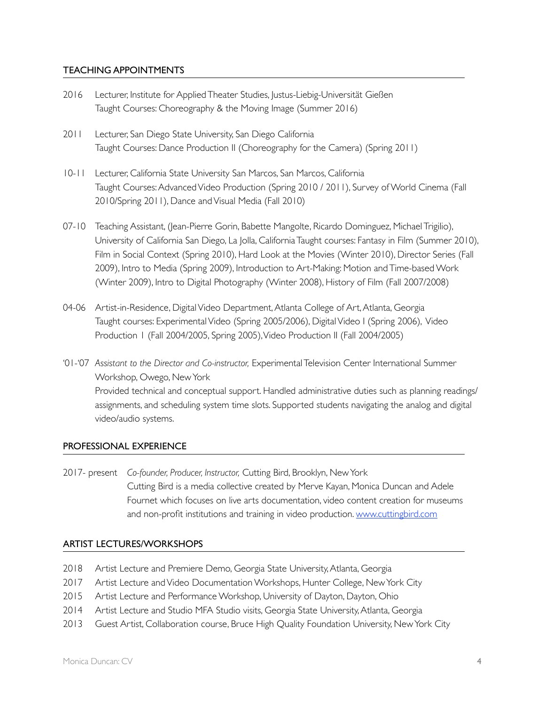### TEACHING APPOINTMENTS

- 2016 Lecturer, Institute for Applied Theater Studies, Justus-Liebig-Universität Gießen Taught Courses: Choreography & the Moving Image (Summer 2016)
- 2011 Lecturer, San Diego State University, San Diego California Taught Courses: Dance Production II (Choreography for the Camera) (Spring 2011)
- 10-11 Lecturer, California State University San Marcos, San Marcos, California Taught Courses: Advanced Video Production (Spring 2010 / 2011), Survey of World Cinema (Fall 2010/Spring 2011), Dance and Visual Media (Fall 2010)
- 07-10 Teaching Assistant, (Jean-Pierre Gorin, Babette Mangolte, Ricardo Dominguez, Michael Trigilio), University of California San Diego, La Jolla, California Taught courses: Fantasy in Film (Summer 2010), Film in Social Context (Spring 2010), Hard Look at the Movies (Winter 2010), Director Series (Fall 2009), Intro to Media (Spring 2009), Introduction to Art-Making: Motion and Time-based Work (Winter 2009), Intro to Digital Photography (Winter 2008), History of Film (Fall 2007/2008)
- 04-06 Artist-in-Residence, Digital Video Department, Atlanta College of Art, Atlanta, Georgia Taught courses: Experimental Video (Spring 2005/2006), Digital Video I (Spring 2006), Video Production 1 (Fall 2004/2005, Spring 2005), Video Production II (Fall 2004/2005)
- '01-'07 *Assistant to the Director and Co-instructor,* Experimental Television Center International Summer Workshop, Owego, New York Provided technical and conceptual support. Handled administrative duties such as planning readings/ assignments, and scheduling system time slots. Supported students navigating the analog and digital video/audio systems.

#### PROFESSIONAL EXPERIENCE

2017- present *Co-founder, Producer, Instructor,* Cutting Bird, Brooklyn, New York Cutting Bird is a media collective created by Merve Kayan, Monica Duncan and Adele Fournet which focuses on live arts documentation, video content creation for museums and non-profit institutions and training in video production. [www.cuttingbird.com](http://www.cuttingbird.com)

#### ARTIST LECTURES/WORKSHOPS

- 2018 Artist Lecture and Premiere Demo, Georgia State University, Atlanta, Georgia
- 2017 Artist Lecture and Video Documentation Workshops, Hunter College, New York City
- 2015 Artist Lecture and Performance Workshop, University of Dayton, Dayton, Ohio
- 2014 Artist Lecture and Studio MFA Studio visits, Georgia State University, Atlanta, Georgia
- 2013 Guest Artist, Collaboration course, Bruce High Quality Foundation University, New York City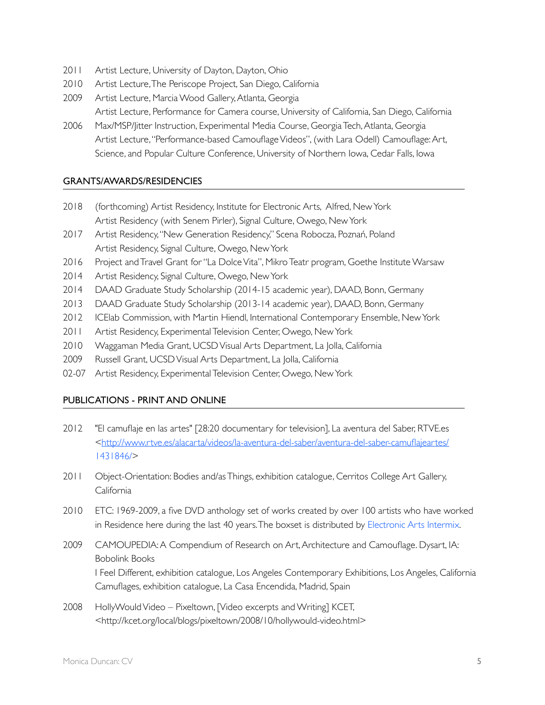- 2011 Artist Lecture, University of Dayton, Dayton, Ohio
- 2010 Artist Lecture, The Periscope Project, San Diego, California
- 2009 Artist Lecture, Marcia Wood Gallery, Atlanta, Georgia Artist Lecture, Performance for Camera course, University of California, San Diego, California
- 2006 Max/MSP/Jitter Instruction, Experimental Media Course, Georgia Tech, Atlanta, Georgia Artist Lecture, "Performance-based Camouflage Videos", (with Lara Odell) Camouflage: Art, Science, and Popular Culture Conference, University of Northern Iowa, Cedar Falls, Iowa

## GRANTS/AWARDS/RESIDENCIES

- 2018 (forthcoming) Artist Residency, Institute for Electronic Arts, Alfred, New York Artist Residency (with Senem Pirler), Signal Culture, Owego, New York
- 2017 Artist Residency, "New Generation Residency," Scena Robocza, Poznań, Poland Artist Residency, Signal Culture, Owego, New York
- 2016 Project and Travel Grant for "La Dolce Vita", Mikro Teatr program, Goethe Institute Warsaw
- 2014 Artist Residency, Signal Culture, Owego, New York
- 2014 DAAD Graduate Study Scholarship (2014-15 academic year), DAAD, Bonn, Germany
- 2013 DAAD Graduate Study Scholarship (2013-14 academic year), DAAD, Bonn, Germany
- 2012 ICElab Commission, with Martin Hiendl, International Contemporary Ensemble, New York
- 2011 Artist Residency, Experimental Television Center, Owego, New York
- 2010 Waggaman Media Grant, UCSD Visual Arts Department, La Jolla, California
- 2009 Russell Grant, UCSD Visual Arts Department, La Jolla, California
- 02-07 Artist Residency, Experimental Television Center, Owego, New York

## PUBLICATIONS - PRINT AND ONLINE

- 2012 "El camuflaje en las artes" [28:20 documentary for television], La aventura del Saber, RTVE.es [<http://www.rtve.es/alacarta/videos/la-aventura-del-saber/aventura-del-saber-camuflajeartes/](http://www.rtve.es/alacarta/videos/la-aventura-del-saber/aventura-del-saber-camuflajeartes/) 1431846/>
- 2011 Object-Orientation: Bodies and/as Things, exhibition catalogue, Cerritos College Art Gallery, California
- 2010 ETC: 1969-2009, a five DVD anthology set of works created by over 100 artists who have worked in Residence here during the last 40 years. The boxset is distributed by Electronic Arts Intermix.
- 2009 CAMOUPEDIA: A Compendium of Research on Art, Architecture and Camouflage. Dysart, IA: Bobolink Books I Feel Different, exhibition catalogue, Los Angeles Contemporary Exhibitions, Los Angeles, California Camuflages, exhibition catalogue, La Casa Encendida, Madrid, Spain
- 2008 HollyWould Video Pixeltown, Mideo excerpts and Writing] KCET, <http://kcet.org/local/blogs/pixeltown/2008/10/hollywould-video.html>